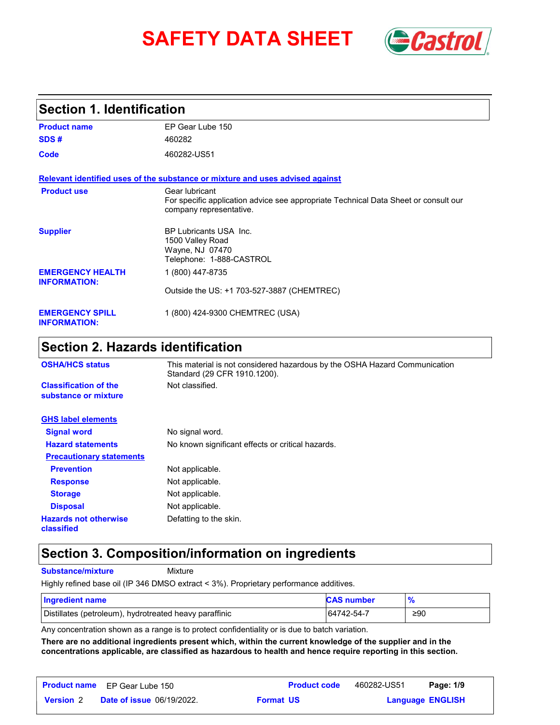# **SAFETY DATA SHEET** *Castrol*



#### **Section 1. Identification**

| <b>Product name</b>                            | EP Gear Lube 150                                                                                                                 |
|------------------------------------------------|----------------------------------------------------------------------------------------------------------------------------------|
| SDS#                                           | 460282                                                                                                                           |
| Code                                           | 460282-US51                                                                                                                      |
|                                                | Relevant identified uses of the substance or mixture and uses advised against                                                    |
| <b>Product use</b>                             | Gear lubricant<br>For specific application advice see appropriate Technical Data Sheet or consult our<br>company representative. |
| <b>Supplier</b>                                | <b>BP Lubricants USA Inc.</b><br>1500 Valley Road<br>Wayne, NJ 07470<br>Telephone: 1-888-CASTROL                                 |
| <b>EMERGENCY HEALTH</b><br><b>INFORMATION:</b> | 1 (800) 447-8735                                                                                                                 |
|                                                | Outside the US: +1 703-527-3887 (CHEMTREC)                                                                                       |
| <b>EMERGENCY SPILL</b><br><b>INFORMATION:</b>  | 1 (800) 424-9300 CHEMTREC (USA)                                                                                                  |

## **Section 2. Hazards identification**

| <b>OSHA/HCS status</b>                               | This material is not considered hazardous by the OSHA Hazard Communication<br>Standard (29 CFR 1910.1200). |
|------------------------------------------------------|------------------------------------------------------------------------------------------------------------|
| <b>Classification of the</b><br>substance or mixture | Not classified.                                                                                            |
| <b>GHS label elements</b>                            |                                                                                                            |
| <b>Signal word</b>                                   | No signal word.                                                                                            |
| <b>Hazard statements</b>                             | No known significant effects or critical hazards.                                                          |
| <b>Precautionary statements</b>                      |                                                                                                            |
| <b>Prevention</b>                                    | Not applicable.                                                                                            |
| <b>Response</b>                                      | Not applicable.                                                                                            |
| <b>Storage</b>                                       | Not applicable.                                                                                            |
| <b>Disposal</b>                                      | Not applicable.                                                                                            |
| <b>Hazards not otherwise</b><br>classified           | Defatting to the skin.                                                                                     |

### **Section 3. Composition/information on ingredients**

**Substance/mixture Mixture** 

Highly refined base oil (IP 346 DMSO extract < 3%). Proprietary performance additives.

| <b>Ingredient name</b>                                 | <b>CAS number</b> | 70  |
|--------------------------------------------------------|-------------------|-----|
| Distillates (petroleum), hydrotreated heavy paraffinic | 64742-54-7        | ≥90 |

Any concentration shown as a range is to protect confidentiality or is due to batch variation.

**There are no additional ingredients present which, within the current knowledge of the supplier and in the concentrations applicable, are classified as hazardous to health and hence require reporting in this section.**

|                  | <b>Product name</b> EP Gear Lube 150 |                  | <b>Product code</b> | 460282-US51             | Page: 1/9 |  |
|------------------|--------------------------------------|------------------|---------------------|-------------------------|-----------|--|
| <b>Version 2</b> | <b>Date of issue 06/19/2022.</b>     | <b>Format US</b> |                     | <b>Language ENGLISH</b> |           |  |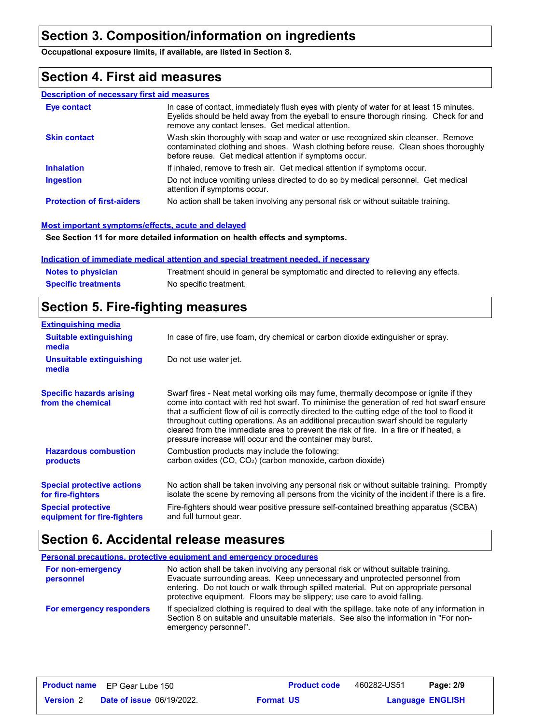## **Section 3. Composition/information on ingredients**

**Occupational exposure limits, if available, are listed in Section 8.**

## **Section 4. First aid measures**

#### **Description of necessary first aid measures**

| <b>Eve contact</b>                | In case of contact, immediately flush eyes with plenty of water for at least 15 minutes.<br>Eyelids should be held away from the eyeball to ensure thorough rinsing. Check for and<br>remove any contact lenses. Get medical attention. |
|-----------------------------------|-----------------------------------------------------------------------------------------------------------------------------------------------------------------------------------------------------------------------------------------|
| <b>Skin contact</b>               | Wash skin thoroughly with soap and water or use recognized skin cleanser. Remove<br>contaminated clothing and shoes. Wash clothing before reuse. Clean shoes thoroughly<br>before reuse. Get medical attention if symptoms occur.       |
| <b>Inhalation</b>                 | If inhaled, remove to fresh air. Get medical attention if symptoms occur.                                                                                                                                                               |
| <b>Ingestion</b>                  | Do not induce vomiting unless directed to do so by medical personnel. Get medical<br>attention if symptoms occur.                                                                                                                       |
| <b>Protection of first-aiders</b> | No action shall be taken involving any personal risk or without suitable training.                                                                                                                                                      |

#### **Most important symptoms/effects, acute and delayed**

**See Section 11 for more detailed information on health effects and symptoms.**

#### **Indication of immediate medical attention and special treatment needed, if necessary**

| <b>Notes to physician</b>  | Treatment should in general be symptomatic and directed to relieving any effects. |
|----------------------------|-----------------------------------------------------------------------------------|
| <b>Specific treatments</b> | No specific treatment.                                                            |

## **Section 5. Fire-fighting measures**

| <b>Extinguishing media</b>                               |                                                                                                                                                                                                                                                                                                                                                                                                                                                                                                                                     |  |  |  |  |
|----------------------------------------------------------|-------------------------------------------------------------------------------------------------------------------------------------------------------------------------------------------------------------------------------------------------------------------------------------------------------------------------------------------------------------------------------------------------------------------------------------------------------------------------------------------------------------------------------------|--|--|--|--|
| <b>Suitable extinguishing</b><br>media                   | In case of fire, use foam, dry chemical or carbon dioxide extinguisher or spray.                                                                                                                                                                                                                                                                                                                                                                                                                                                    |  |  |  |  |
| Unsuitable extinguishing<br>media                        | Do not use water jet.                                                                                                                                                                                                                                                                                                                                                                                                                                                                                                               |  |  |  |  |
| <b>Specific hazards arising</b><br>from the chemical     | Swarf fires - Neat metal working oils may fume, thermally decompose or ignite if they<br>come into contact with red hot swarf. To minimise the generation of red hot swarf ensure<br>that a sufficient flow of oil is correctly directed to the cutting edge of the tool to flood it<br>throughout cutting operations. As an additional precaution swarf should be regularly<br>cleared from the immediate area to prevent the risk of fire. In a fire or if heated, a<br>pressure increase will occur and the container may burst. |  |  |  |  |
| <b>Hazardous combustion</b><br>products                  | Combustion products may include the following:<br>carbon oxides (CO, CO <sub>2</sub> ) (carbon monoxide, carbon dioxide)                                                                                                                                                                                                                                                                                                                                                                                                            |  |  |  |  |
| <b>Special protective actions</b><br>for fire-fighters   | No action shall be taken involving any personal risk or without suitable training. Promptly<br>isolate the scene by removing all persons from the vicinity of the incident if there is a fire.                                                                                                                                                                                                                                                                                                                                      |  |  |  |  |
| <b>Special protective</b><br>equipment for fire-fighters | Fire-fighters should wear positive pressure self-contained breathing apparatus (SCBA)<br>and full turnout gear.                                                                                                                                                                                                                                                                                                                                                                                                                     |  |  |  |  |

### **Section 6. Accidental release measures**

|                                       | Personal precautions, protective equipment and emergency procedures                                                                                                                                                                                                                                                                   |
|---------------------------------------|---------------------------------------------------------------------------------------------------------------------------------------------------------------------------------------------------------------------------------------------------------------------------------------------------------------------------------------|
| <b>For non-emergency</b><br>personnel | No action shall be taken involving any personal risk or without suitable training.<br>Evacuate surrounding areas. Keep unnecessary and unprotected personnel from<br>entering. Do not touch or walk through spilled material. Put on appropriate personal<br>protective equipment. Floors may be slippery; use care to avoid falling. |
| For emergency responders              | If specialized clothing is required to deal with the spillage, take note of any information in<br>Section 8 on suitable and unsuitable materials. See also the information in "For non-<br>emergency personnel".                                                                                                                      |

|                  | <b>Product name</b> EP Gear Lube 150 |                  | <b>Product code</b> | 460282-US51 | Page: 2/9               |  |
|------------------|--------------------------------------|------------------|---------------------|-------------|-------------------------|--|
| <b>Version</b> 2 | <b>Date of issue 06/19/2022.</b>     | <b>Format US</b> |                     |             | <b>Language ENGLISH</b> |  |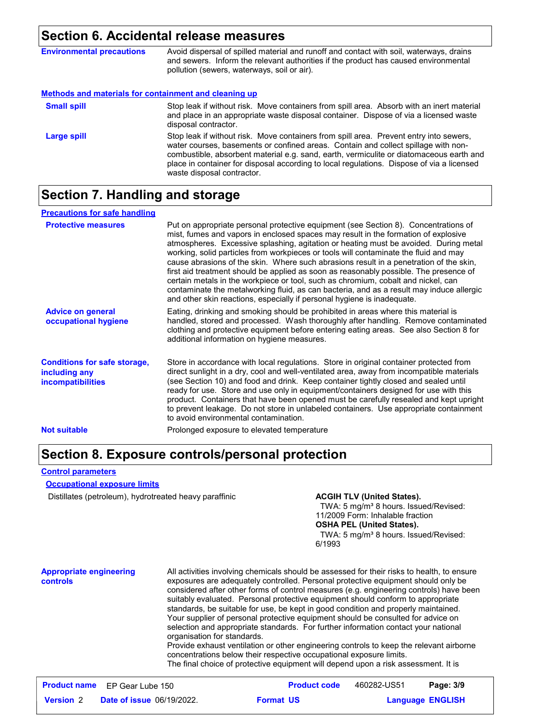#### **Section 6. Accidental release measures**

| <b>Environmental precautions</b>                      | Avoid dispersal of spilled material and runoff and contact with soil, waterways, drains<br>and sewers. Inform the relevant authorities if the product has caused environmental<br>pollution (sewers, waterways, soil or air).                                                                                                                                                                      |
|-------------------------------------------------------|----------------------------------------------------------------------------------------------------------------------------------------------------------------------------------------------------------------------------------------------------------------------------------------------------------------------------------------------------------------------------------------------------|
| Methods and materials for containment and cleaning up |                                                                                                                                                                                                                                                                                                                                                                                                    |
| <b>Small spill</b>                                    | Stop leak if without risk. Move containers from spill area. Absorb with an inert material<br>and place in an appropriate waste disposal container. Dispose of via a licensed waste<br>disposal contractor.                                                                                                                                                                                         |
| Large spill                                           | Stop leak if without risk. Move containers from spill area. Prevent entry into sewers,<br>water courses, basements or confined areas. Contain and collect spillage with non-<br>combustible, absorbent material e.g. sand, earth, vermiculite or diatomaceous earth and<br>place in container for disposal according to local regulations. Dispose of via a licensed<br>waste disposal contractor. |

### **Section 7. Handling and storage**

| <b>Precautions for safe handling</b>                                             |                                                                                                                                                                                                                                                                                                                                                                                                                                                                                                                                                                                                                                                                                                                                                                                                          |
|----------------------------------------------------------------------------------|----------------------------------------------------------------------------------------------------------------------------------------------------------------------------------------------------------------------------------------------------------------------------------------------------------------------------------------------------------------------------------------------------------------------------------------------------------------------------------------------------------------------------------------------------------------------------------------------------------------------------------------------------------------------------------------------------------------------------------------------------------------------------------------------------------|
| <b>Protective measures</b>                                                       | Put on appropriate personal protective equipment (see Section 8). Concentrations of<br>mist, fumes and vapors in enclosed spaces may result in the formation of explosive<br>atmospheres. Excessive splashing, agitation or heating must be avoided. During metal<br>working, solid particles from workpieces or tools will contaminate the fluid and may<br>cause abrasions of the skin. Where such abrasions result in a penetration of the skin,<br>first aid treatment should be applied as soon as reasonably possible. The presence of<br>certain metals in the workpiece or tool, such as chromium, cobalt and nickel, can<br>contaminate the metalworking fluid, as can bacteria, and as a result may induce allergic<br>and other skin reactions, especially if personal hygiene is inadequate. |
| <b>Advice on general</b><br>occupational hygiene                                 | Eating, drinking and smoking should be prohibited in areas where this material is<br>handled, stored and processed. Wash thoroughly after handling. Remove contaminated<br>clothing and protective equipment before entering eating areas. See also Section 8 for<br>additional information on hygiene measures.                                                                                                                                                                                                                                                                                                                                                                                                                                                                                         |
| <b>Conditions for safe storage,</b><br>including any<br><i>incompatibilities</i> | Store in accordance with local regulations. Store in original container protected from<br>direct sunlight in a dry, cool and well-ventilated area, away from incompatible materials<br>(see Section 10) and food and drink. Keep container tightly closed and sealed until<br>ready for use. Store and use only in equipment/containers designed for use with this<br>product. Containers that have been opened must be carefully resealed and kept upright<br>to prevent leakage. Do not store in unlabeled containers. Use appropriate containment<br>to avoid environmental contamination.                                                                                                                                                                                                            |
| <b>Not suitable</b>                                                              | Prolonged exposure to elevated temperature                                                                                                                                                                                                                                                                                                                                                                                                                                                                                                                                                                                                                                                                                                                                                               |

### **Section 8. Exposure controls/personal protection**

#### **Control parameters**

#### **Occupational exposure limits**

Distillates (petroleum), hydrotreated heavy paraffinic **ACGIH TLV (United States).** 

TWA: 5 mg/m<sup>3</sup> 8 hours. Issued/Revised: 11/2009 Form: Inhalable fraction **OSHA PEL (United States).** TWA: 5 mg/m<sup>3</sup> 8 hours. Issued/Revised: 6/1993

#### **Appropriate engineering controls**

All activities involving chemicals should be assessed for their risks to health, to ensure exposures are adequately controlled. Personal protective equipment should only be considered after other forms of control measures (e.g. engineering controls) have been suitably evaluated. Personal protective equipment should conform to appropriate standards, be suitable for use, be kept in good condition and properly maintained. Your supplier of personal protective equipment should be consulted for advice on selection and appropriate standards. For further information contact your national organisation for standards.

Provide exhaust ventilation or other engineering controls to keep the relevant airborne concentrations below their respective occupational exposure limits. The final choice of protective equipment will depend upon a risk assessment. It is

|                  | <b>Product name</b> EP Gear Lube 150 |                  | <b>Product code</b> | 460282-US51             | Page: 3/9 |
|------------------|--------------------------------------|------------------|---------------------|-------------------------|-----------|
| <b>Version 2</b> | <b>Date of issue 06/19/2022.</b>     | <b>Format US</b> |                     | <b>Language ENGLISH</b> |           |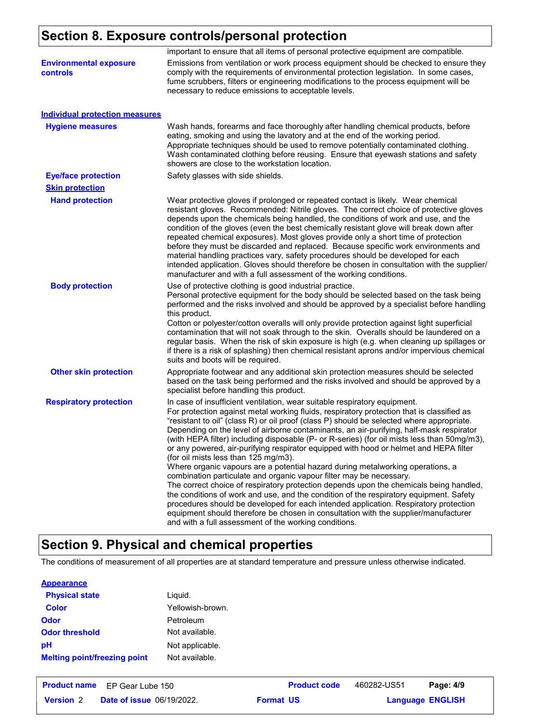## **Section 8. Exposure controls/personal protection**

| important to ensure that all items of personal protective equipment are compatible.                                                                                                                                                                                                                                                                                                                                                                                                                                                                                                                                                                                                                                                                                                                                                                                                                                                                                                                                                                                                                                                                                                 |
|-------------------------------------------------------------------------------------------------------------------------------------------------------------------------------------------------------------------------------------------------------------------------------------------------------------------------------------------------------------------------------------------------------------------------------------------------------------------------------------------------------------------------------------------------------------------------------------------------------------------------------------------------------------------------------------------------------------------------------------------------------------------------------------------------------------------------------------------------------------------------------------------------------------------------------------------------------------------------------------------------------------------------------------------------------------------------------------------------------------------------------------------------------------------------------------|
| Emissions from ventilation or work process equipment should be checked to ensure they<br>comply with the requirements of environmental protection legislation. In some cases,<br>fume scrubbers, filters or engineering modifications to the process equipment will be<br>necessary to reduce emissions to acceptable levels.                                                                                                                                                                                                                                                                                                                                                                                                                                                                                                                                                                                                                                                                                                                                                                                                                                                       |
|                                                                                                                                                                                                                                                                                                                                                                                                                                                                                                                                                                                                                                                                                                                                                                                                                                                                                                                                                                                                                                                                                                                                                                                     |
| Wash hands, forearms and face thoroughly after handling chemical products, before<br>eating, smoking and using the lavatory and at the end of the working period.<br>Appropriate techniques should be used to remove potentially contaminated clothing.<br>Wash contaminated clothing before reusing. Ensure that eyewash stations and safety<br>showers are close to the workstation location.                                                                                                                                                                                                                                                                                                                                                                                                                                                                                                                                                                                                                                                                                                                                                                                     |
| Safety glasses with side shields.                                                                                                                                                                                                                                                                                                                                                                                                                                                                                                                                                                                                                                                                                                                                                                                                                                                                                                                                                                                                                                                                                                                                                   |
|                                                                                                                                                                                                                                                                                                                                                                                                                                                                                                                                                                                                                                                                                                                                                                                                                                                                                                                                                                                                                                                                                                                                                                                     |
| Wear protective gloves if prolonged or repeated contact is likely. Wear chemical<br>resistant gloves. Recommended: Nitrile gloves. The correct choice of protective gloves<br>depends upon the chemicals being handled, the conditions of work and use, and the<br>condition of the gloves (even the best chemically resistant glove will break down after<br>repeated chemical exposures). Most gloves provide only a short time of protection<br>before they must be discarded and replaced. Because specific work environments and<br>material handling practices vary, safety procedures should be developed for each<br>intended application. Gloves should therefore be chosen in consultation with the supplier/<br>manufacturer and with a full assessment of the working conditions.                                                                                                                                                                                                                                                                                                                                                                                       |
| Use of protective clothing is good industrial practice.<br>Personal protective equipment for the body should be selected based on the task being<br>performed and the risks involved and should be approved by a specialist before handling<br>this product.<br>Cotton or polyester/cotton overalls will only provide protection against light superficial<br>contamination that will not soak through to the skin. Overalls should be laundered on a<br>regular basis. When the risk of skin exposure is high (e.g. when cleaning up spillages or<br>if there is a risk of splashing) then chemical resistant aprons and/or impervious chemical<br>suits and boots will be required.                                                                                                                                                                                                                                                                                                                                                                                                                                                                                               |
| Appropriate footwear and any additional skin protection measures should be selected<br>based on the task being performed and the risks involved and should be approved by a<br>specialist before handling this product.                                                                                                                                                                                                                                                                                                                                                                                                                                                                                                                                                                                                                                                                                                                                                                                                                                                                                                                                                             |
| In case of insufficient ventilation, wear suitable respiratory equipment.<br>For protection against metal working fluids, respiratory protection that is classified as<br>"resistant to oil" (class R) or oil proof (class P) should be selected where appropriate.<br>Depending on the level of airborne contaminants, an air-purifying, half-mask respirator<br>(with HEPA filter) including disposable (P- or R-series) (for oil mists less than 50mg/m3),<br>or any powered, air-purifying respirator equipped with hood or helmet and HEPA filter<br>(for oil mists less than 125 mg/m3).<br>Where organic vapours are a potential hazard during metalworking operations, a<br>combination particulate and organic vapour filter may be necessary.<br>The correct choice of respiratory protection depends upon the chemicals being handled,<br>the conditions of work and use, and the condition of the respiratory equipment. Safety<br>procedures should be developed for each intended application. Respiratory protection<br>equipment should therefore be chosen in consultation with the supplier/manufacturer<br>and with a full assessment of the working conditions. |
|                                                                                                                                                                                                                                                                                                                                                                                                                                                                                                                                                                                                                                                                                                                                                                                                                                                                                                                                                                                                                                                                                                                                                                                     |

## **Section 9. Physical and chemical properties**

The conditions of measurement of all properties are at standard temperature and pressure unless otherwise indicated.

#### **Appearance**

| <b>Physical state</b>               | Liquid.          |
|-------------------------------------|------------------|
| <b>Color</b>                        | Yellowish-brown. |
| <b>Odor</b>                         | Petroleum        |
| <b>Odor threshold</b>               | Not available.   |
| рH                                  | Not applicable.  |
| <b>Melting point/freezing point</b> | Not available.   |

|                  | <b>Product name</b> EP Gear Lube 150 |                  | <b>Product code</b> | 460282-US51             | Page: 4/9 |
|------------------|--------------------------------------|------------------|---------------------|-------------------------|-----------|
| <b>Version 2</b> | <b>Date of issue 06/19/2022.</b>     | <b>Format US</b> |                     | <b>Language ENGLISH</b> |           |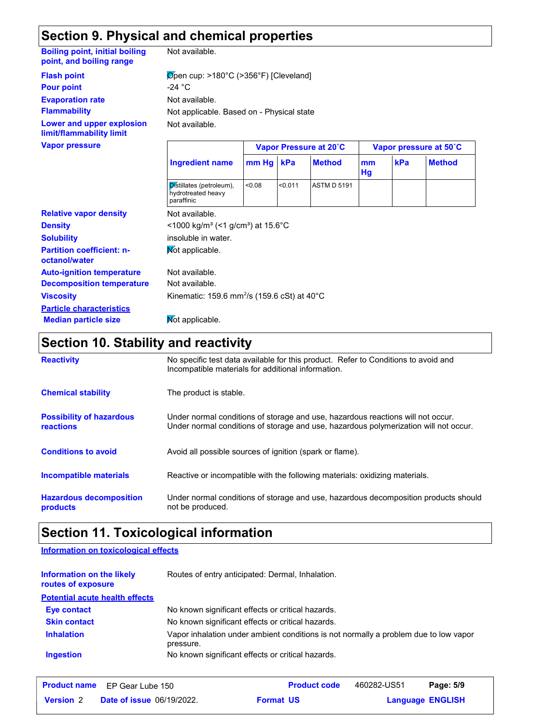## **Section 9. Physical and chemical properties**

#### **Boiling point, initial boiling point, and boiling range**

Not available.

**Evaporation rate** Not available. Not available. Not applicable. Based on - Physical state **Pour point**  $-24 \text{ }^{\circ}\text{C}$ **Flash point**  $\overline{\text{Open}}$  cup: >180°C (>356°F) [Cleveland]

**Lower and upper explosion limit/flammability limit**

**Flammability**

| <b>Vapor pressure</b>                             | Vapor Pressure at 20°C                                             |             |         |                    |          | Vapor pressure at 50°C |               |  |
|---------------------------------------------------|--------------------------------------------------------------------|-------------|---------|--------------------|----------|------------------------|---------------|--|
|                                                   | <b>Ingredient name</b>                                             | $mm$ Hg $ $ | kPa     | <b>Method</b>      | mm<br>Hg | kPa                    | <b>Method</b> |  |
|                                                   | Distillates (petroleum),<br>hydrotreated heavy<br>paraffinic       | < 0.08      | < 0.011 | <b>ASTM D 5191</b> |          |                        |               |  |
| <b>Relative vapor density</b>                     | Not available.                                                     |             |         |                    |          |                        |               |  |
| <b>Density</b>                                    | <1000 kg/m <sup>3</sup> (<1 g/cm <sup>3</sup> ) at 15.6°C          |             |         |                    |          |                        |               |  |
| <b>Solubility</b>                                 | insoluble in water.                                                |             |         |                    |          |                        |               |  |
| <b>Partition coefficient: n-</b><br>octanol/water | Mot applicable.                                                    |             |         |                    |          |                        |               |  |
| <b>Auto-ignition temperature</b>                  | Not available.                                                     |             |         |                    |          |                        |               |  |
| <b>Decomposition temperature</b>                  | Not available.                                                     |             |         |                    |          |                        |               |  |
| <b>Viscosity</b>                                  | Kinematic: 159.6 mm <sup>2</sup> /s (159.6 cSt) at 40 $^{\circ}$ C |             |         |                    |          |                        |               |  |
| <b>Particle characteristics</b>                   |                                                                    |             |         |                    |          |                        |               |  |
| <b>Median particle size</b>                       | Mot applicable.                                                    |             |         |                    |          |                        |               |  |

#### **Section 10. Stability and reactivity**

| <b>Reactivity</b>                            | No specific test data available for this product. Refer to Conditions to avoid and<br>Incompatible materials for additional information.                                |
|----------------------------------------------|-------------------------------------------------------------------------------------------------------------------------------------------------------------------------|
| <b>Chemical stability</b>                    | The product is stable.                                                                                                                                                  |
| <b>Possibility of hazardous</b><br>reactions | Under normal conditions of storage and use, hazardous reactions will not occur.<br>Under normal conditions of storage and use, hazardous polymerization will not occur. |
| <b>Conditions to avoid</b>                   | Avoid all possible sources of ignition (spark or flame).                                                                                                                |
| <b>Incompatible materials</b>                | Reactive or incompatible with the following materials: oxidizing materials.                                                                                             |
| <b>Hazardous decomposition</b><br>products   | Under normal conditions of storage and use, hazardous decomposition products should<br>not be produced.                                                                 |

## **Section 11. Toxicological information**

**Information on toxicological effects**

| Information on the likely<br>routes of exposure | Routes of entry anticipated: Dermal, Inhalation.                                                  |
|-------------------------------------------------|---------------------------------------------------------------------------------------------------|
| <b>Potential acute health effects</b>           |                                                                                                   |
| Eye contact                                     | No known significant effects or critical hazards.                                                 |
| <b>Skin contact</b>                             | No known significant effects or critical hazards.                                                 |
| <b>Inhalation</b>                               | Vapor inhalation under ambient conditions is not normally a problem due to low vapor<br>pressure. |
| <b>Ingestion</b>                                | No known significant effects or critical hazards.                                                 |

|                  | <b>Product name</b> EP Gear Lube 150 |                  | <b>Product code</b> | 460282-US51             | Page: 5/9 |  |
|------------------|--------------------------------------|------------------|---------------------|-------------------------|-----------|--|
| <b>Version</b> 2 | <b>Date of issue 06/19/2022.</b>     | <b>Format US</b> |                     | <b>Language ENGLISH</b> |           |  |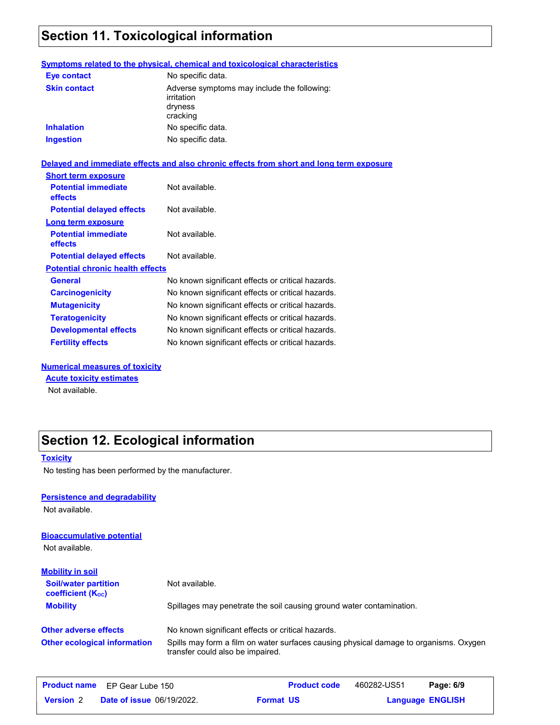## **Section 11. Toxicological information**

#### **Symptoms related to the physical, chemical and toxicological characteristics**

| <b>Eye contact</b>  | No specific data.                                                                |
|---------------------|----------------------------------------------------------------------------------|
| <b>Skin contact</b> | Adverse symptoms may include the following:<br>irritation<br>dryness<br>cracking |
| <b>Inhalation</b>   | No specific data.                                                                |
| <b>Ingestion</b>    | No specific data.                                                                |

#### **Delayed and immediate effects and also chronic effects from short and long term exposure**

| <b>Short term exposure</b>              |                                                   |
|-----------------------------------------|---------------------------------------------------|
| <b>Potential immediate</b><br>effects   | Not available.                                    |
| <b>Potential delayed effects</b>        | Not available.                                    |
| Long term exposure                      |                                                   |
| <b>Potential immediate</b><br>effects   | Not available.                                    |
| <b>Potential delayed effects</b>        | Not available.                                    |
| <b>Potential chronic health effects</b> |                                                   |
| <b>General</b>                          | No known significant effects or critical hazards. |
| <b>Carcinogenicity</b>                  | No known significant effects or critical hazards. |
| <b>Mutagenicity</b>                     | No known significant effects or critical hazards. |
| <b>Teratogenicity</b>                   | No known significant effects or critical hazards. |
| <b>Developmental effects</b>            | No known significant effects or critical hazards. |
| <b>Fertility effects</b>                | No known significant effects or critical hazards. |

#### **Numerical measures of toxicity**

**Acute toxicity estimates**

Not available.

## **Section 12. Ecological information**

#### **Toxicity**

No testing has been performed by the manufacturer.

#### **Persistence and degradability**

Not available.

## **Bioaccumulative potential**

Not available.

| <b>Mobility in soil</b>                                 |                                                                                                                           |
|---------------------------------------------------------|---------------------------------------------------------------------------------------------------------------------------|
| <b>Soil/water partition</b><br><b>coefficient (Koc)</b> | Not available.                                                                                                            |
| <b>Mobility</b>                                         | Spillages may penetrate the soil causing ground water contamination.                                                      |
| <b>Other adverse effects</b>                            | No known significant effects or critical hazards.                                                                         |
| <b>Other ecological information</b>                     | Spills may form a film on water surfaces causing physical damage to organisms. Oxygen<br>transfer could also be impaired. |

|                  | <b>Product name</b> EP Gear Lube 150 | <b>Product code</b> | 460282-US51 | Page: 6/9               |
|------------------|--------------------------------------|---------------------|-------------|-------------------------|
| <b>Version 2</b> | <b>Date of issue 06/19/2022.</b>     | <b>Format US</b>    |             | <b>Language ENGLISH</b> |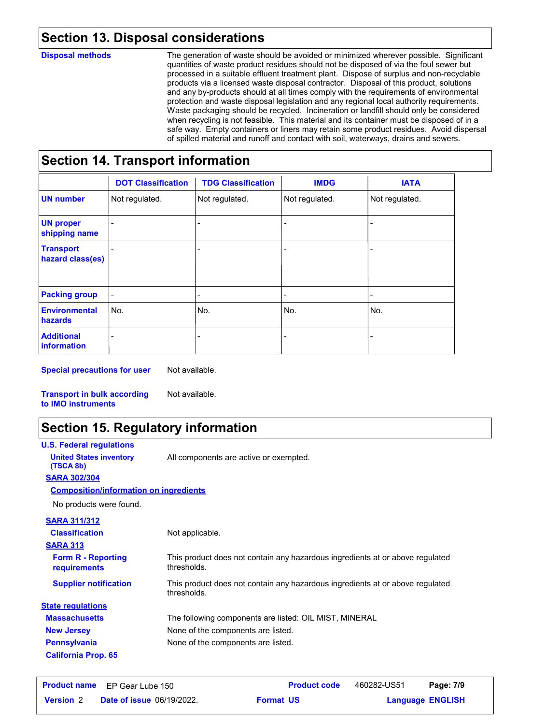## **Section 13. Disposal considerations**

#### **Disposal methods**

The generation of waste should be avoided or minimized wherever possible. Significant quantities of waste product residues should not be disposed of via the foul sewer but processed in a suitable effluent treatment plant. Dispose of surplus and non-recyclable products via a licensed waste disposal contractor. Disposal of this product, solutions and any by-products should at all times comply with the requirements of environmental protection and waste disposal legislation and any regional local authority requirements. Waste packaging should be recycled. Incineration or landfill should only be considered when recycling is not feasible. This material and its container must be disposed of in a safe way. Empty containers or liners may retain some product residues. Avoid dispersal of spilled material and runoff and contact with soil, waterways, drains and sewers.

## **Section 14. Transport information**

|                                         | <b>DOT Classification</b> | <b>TDG Classification</b> | <b>IMDG</b>    | <b>IATA</b>    |
|-----------------------------------------|---------------------------|---------------------------|----------------|----------------|
| <b>UN number</b>                        | Not regulated.            | Not regulated.            | Not regulated. | Not regulated. |
| <b>UN proper</b><br>shipping name       |                           |                           |                |                |
| <b>Transport</b><br>hazard class(es)    |                           |                           |                |                |
| <b>Packing group</b>                    |                           | $\overline{\phantom{0}}$  |                | ÷              |
| <b>Environmental</b><br>hazards         | No.                       | No.                       | No.            | No.            |
| <b>Additional</b><br><b>information</b> |                           |                           | $\overline{a}$ |                |

**Special precautions for user** Not available.

Not available.

**Transport in bulk according to IMO instruments**

## **Section 15. Regulatory information**

| <b>U.S. Federal regulations</b>               |                                                                                              |
|-----------------------------------------------|----------------------------------------------------------------------------------------------|
| <b>United States inventory</b><br>(TSCA 8b)   | All components are active or exempted.                                                       |
| <b>SARA 302/304</b>                           |                                                                                              |
| <b>Composition/information on ingredients</b> |                                                                                              |
| No products were found.                       |                                                                                              |
| <b>SARA 311/312</b>                           |                                                                                              |
| <b>Classification</b>                         | Not applicable.                                                                              |
| <b>SARA 313</b>                               |                                                                                              |
| <b>Form R - Reporting</b><br>requirements     | This product does not contain any hazardous ingredients at or above regulated<br>thresholds. |
| <b>Supplier notification</b>                  | This product does not contain any hazardous ingredients at or above regulated<br>thresholds. |
| <b>State regulations</b>                      |                                                                                              |
| <b>Massachusetts</b>                          | The following components are listed: OIL MIST, MINERAL                                       |
| <b>New Jersey</b>                             | None of the components are listed.                                                           |
| <b>Pennsylvania</b>                           | None of the components are listed.                                                           |
| <b>California Prop. 65</b>                    |                                                                                              |

|                  | <b>Product name</b> EP Gear Lube 150 | <b>Product code</b> | 460282-US51 | Page: 7/9               |  |
|------------------|--------------------------------------|---------------------|-------------|-------------------------|--|
| <b>Version 2</b> | <b>Date of issue 06/19/2022.</b>     | <b>Format US</b>    |             | <b>Language ENGLISH</b> |  |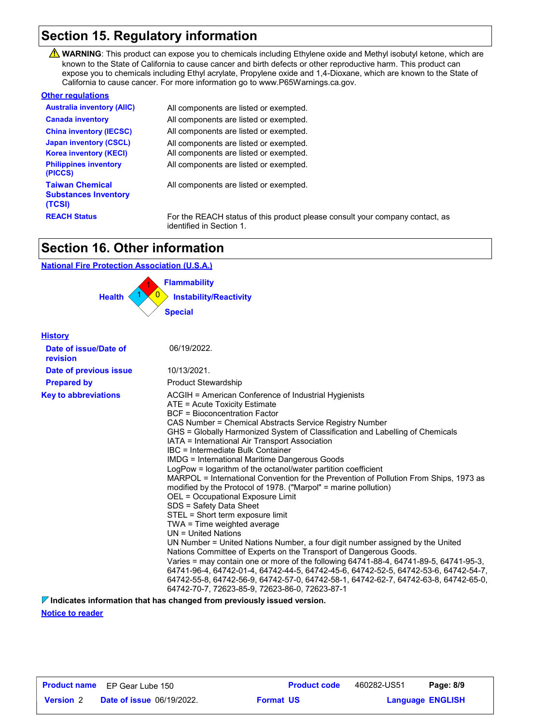## **Section 15. Regulatory information**

WARNING: This product can expose you to chemicals including Ethylene oxide and Methyl isobutyl ketone, which are known to the State of California to cause cancer and birth defects or other reproductive harm. This product can expose you to chemicals including Ethyl acrylate, Propylene oxide and 1,4-Dioxane, which are known to the State of California to cause cancer. For more information go to www.P65Warnings.ca.gov.

#### **Other regulations**

| <b>Australia inventory (AIIC)</b>                               | All components are listed or exempted.                                                                   |
|-----------------------------------------------------------------|----------------------------------------------------------------------------------------------------------|
| <b>Canada inventory</b>                                         | All components are listed or exempted.                                                                   |
| <b>China inventory (IECSC)</b>                                  | All components are listed or exempted.                                                                   |
| <b>Japan inventory (CSCL)</b>                                   | All components are listed or exempted.                                                                   |
| <b>Korea inventory (KECI)</b>                                   | All components are listed or exempted.                                                                   |
| <b>Philippines inventory</b><br>(PICCS)                         | All components are listed or exempted.                                                                   |
| <b>Taiwan Chemical</b><br><b>Substances Inventory</b><br>(TCSI) | All components are listed or exempted.                                                                   |
| <b>REACH Status</b>                                             | For the REACH status of this product please consult your company contact, as<br>identified in Section 1. |

## **Section 16. Other information**

#### **National Fire Protection Association (U.S.A.)**



#### **History**

| Date of issue/Date of<br>revision | 06/19/2022.                                                                                                                                                                                                                                                                                                                                                                                                                                                                                                                                                                                                                                                                                                                                                                                                                                                                                                                                                                                                                                                                                                                                                                                                                                                                               |
|-----------------------------------|-------------------------------------------------------------------------------------------------------------------------------------------------------------------------------------------------------------------------------------------------------------------------------------------------------------------------------------------------------------------------------------------------------------------------------------------------------------------------------------------------------------------------------------------------------------------------------------------------------------------------------------------------------------------------------------------------------------------------------------------------------------------------------------------------------------------------------------------------------------------------------------------------------------------------------------------------------------------------------------------------------------------------------------------------------------------------------------------------------------------------------------------------------------------------------------------------------------------------------------------------------------------------------------------|
| Date of previous issue            | 10/13/2021.                                                                                                                                                                                                                                                                                                                                                                                                                                                                                                                                                                                                                                                                                                                                                                                                                                                                                                                                                                                                                                                                                                                                                                                                                                                                               |
| <b>Prepared by</b>                | <b>Product Stewardship</b>                                                                                                                                                                                                                                                                                                                                                                                                                                                                                                                                                                                                                                                                                                                                                                                                                                                                                                                                                                                                                                                                                                                                                                                                                                                                |
| <b>Key to abbreviations</b>       | ACGIH = American Conference of Industrial Hygienists<br>ATE = Acute Toxicity Estimate<br>BCF = Bioconcentration Factor<br>CAS Number = Chemical Abstracts Service Registry Number<br>GHS = Globally Harmonized System of Classification and Labelling of Chemicals<br>IATA = International Air Transport Association<br>IBC = Intermediate Bulk Container<br><b>IMDG = International Maritime Dangerous Goods</b><br>LogPow = logarithm of the octanol/water partition coefficient<br>MARPOL = International Convention for the Prevention of Pollution From Ships, 1973 as<br>modified by the Protocol of 1978. ("Marpol" = marine pollution)<br>OEL = Occupational Exposure Limit<br>SDS = Safety Data Sheet<br>STEL = Short term exposure limit<br>TWA = Time weighted average<br>$UN = United Nations$<br>UN Number = United Nations Number, a four digit number assigned by the United<br>Nations Committee of Experts on the Transport of Dangerous Goods.<br>Varies = may contain one or more of the following 64741-88-4, 64741-89-5, 64741-95-3,<br>64741-96-4, 64742-01-4, 64742-44-5, 64742-45-6, 64742-52-5, 64742-53-6, 64742-54-7,<br>64742-55-8, 64742-56-9, 64742-57-0, 64742-58-1, 64742-62-7, 64742-63-8, 64742-65-0,<br>64742-70-7, 72623-85-9, 72623-86-0, 72623-87-1 |

**Indicates information that has changed from previously issued version.**

**Notice to reader**

|                  | <b>Product name</b> EP Gear Lube 150 | <b>Product code</b> | 460282-US51 | Page: 8/9               |  |
|------------------|--------------------------------------|---------------------|-------------|-------------------------|--|
| <b>Version</b> 2 | <b>Date of issue 06/19/2022.</b>     | <b>Format US</b>    |             | <b>Language ENGLISH</b> |  |